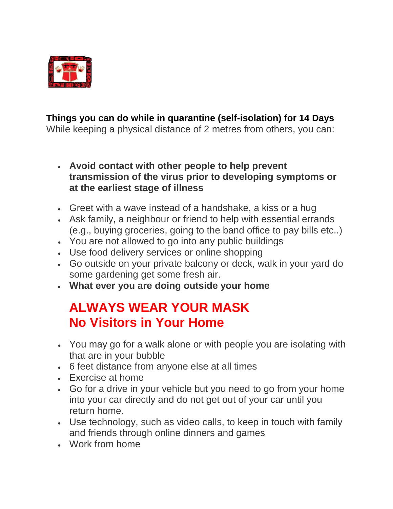

## **Things you can do while in quarantine (self-isolation) for 14 Days**

While keeping a physical distance of 2 metres from others, you can:

- **Avoid contact with other people to help prevent transmission of the virus prior to developing symptoms or at the earliest stage of illness**
- Greet with a wave instead of a handshake, a kiss or a hug
- Ask family, a neighbour or friend to help with essential errands (e.g., buying groceries, going to the band office to pay bills etc..)
- You are not allowed to go into any public buildings
- Use food delivery services or online shopping
- Go outside on your private balcony or deck, walk in your yard do some gardening get some fresh air.
- **What ever you are doing outside your home**

## **ALWAYS WEAR YOUR MASK No Visitors in Your Home**

- You may go for a walk alone or with people you are isolating with that are in your bubble
- 6 feet distance from anyone else at all times
- Exercise at home
- Go for a drive in your vehicle but you need to go from your home into your car directly and do not get out of your car until you return home.
- Use technology, such as video calls, to keep in touch with family and friends through online dinners and games
- Work from home